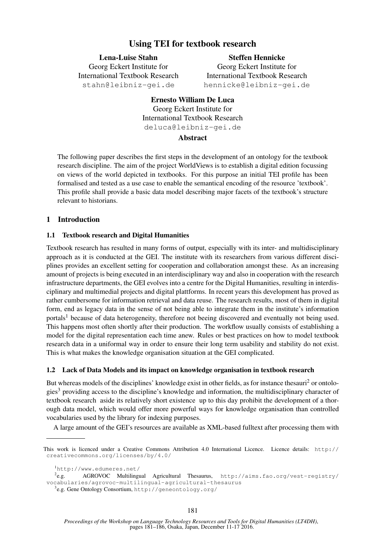# Using TEI for textbook research

Lena-Luise Stahn Georg Eckert Institute for International Textbook Research stahn@leibniz-gei.de

Steffen Hennicke Georg Eckert Institute for International Textbook Research hennicke@leibniz-gei.de

# Ernesto William De Luca Georg Eckert Institute for International Textbook Research deluca@leibniz-gei.de

## Abstract

The following paper describes the first steps in the development of an ontology for the textbook research discipline. The aim of the project WorldViews is to establish a digital edition focussing on views of the world depicted in textbooks. For this purpose an initial TEI profile has been formalised and tested as a use case to enable the semantical encoding of the resource 'textbook'. This profile shall provide a basic data model describing major facets of the textbook's structure relevant to historians.

## 1 Introduction

## 1.1 Textbook research and Digital Humanities

Textbook research has resulted in many forms of output, especially with its inter- and multidisciplinary approach as it is conducted at the GEI. The institute with its researchers from various different disciplines provides an excellent setting for cooperation and collaboration amongst these. As an increasing amount of projects is being executed in an interdisciplinary way and also in cooperation with the research infrastructure departments, the GEI evolves into a centre for the Digital Humanities, resulting in interdisciplinary and multimedial projects and digital plattforms. In recent years this development has proved as rather cumbersome for information retrieval and data reuse. The research results, most of them in digital form, end as legacy data in the sense of not being able to integrate them in the institute's information portals<sup>1</sup> because of data heterogeneity, therefore not beeing discovered and eventually not being used. This happens most often shortly after their production. The workflow usually consists of establishing a model for the digital representation each time anew. Rules or best practices on how to model textbook research data in a uniformal way in order to ensure their long term usability and stability do not exist. This is what makes the knowledge organisation situation at the GEI complicated.

## 1.2 Lack of Data Models and its impact on knowledge organisation in textbook research

But whereas models of the disciplines' knowledge exist in other fields, as for instance thesauri<sup>2</sup> or ontologies<sup>3</sup> providing access to the discipline's knowledge and information, the multidisciplinary character of textbook research aside its relatively short existence up to this day prohibit the development of a thorough data model, which would offer more powerful ways for knowledge organisation than controlled vocabularies used by the library for indexing purposes.

A large amount of the GEI's resources are available as XML-based fulltext after processing them with

This work is licenced under a Creative Commons Attribution 4.0 International Licence. Licence details: http:// creativecommons.org/licenses/by/4.0/

<sup>1</sup>http://www.edumeres.net/

 $2e.g.$ AGROVOC Multilingual Agricultural Thesaurus, http://aims.fao.org/vest-registry/ vocabularies/agrovoc-multilingual-agricultural-thesaurus

<sup>3</sup> e.g. Gene Ontology Consortium, http://geneontology.org/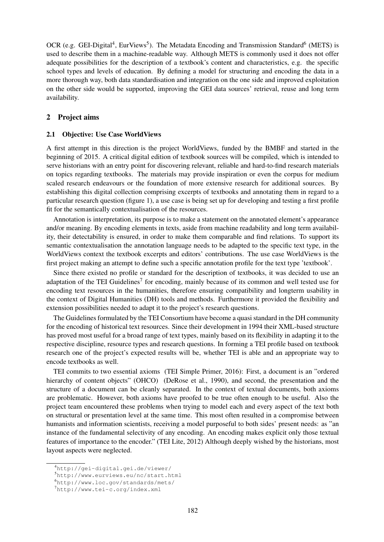OCR (e.g. GEI-Digital<sup>4</sup>, EurViews<sup>5</sup>). The Metadata Encoding and Transmission Standard<sup>6</sup> (METS) is used to describe them in a machine-readable way. Although METS is commonly used it does not offer adequate possibilities for the description of a textbook's content and characteristics, e.g. the specific school types and levels of education. By defining a model for structuring and encoding the data in a more thorough way, both data standardisation and integration on the one side and improved exploitation on the other side would be supported, improving the GEI data sources' retrieval, reuse and long term availability.

## 2 Project aims

#### 2.1 Objective: Use Case WorldViews

A first attempt in this direction is the project WorldViews, funded by the BMBF and started in the beginning of 2015. A critical digital edition of textbook sources will be compiled, which is intended to serve historians with an entry point for discovering relevant, reliable and hard-to-find research materials on topics regarding textbooks. The materials may provide inspiration or even the corpus for medium scaled research endeavours or the foundation of more extensive research for additional sources. By establishing this digital collection comprising excerpts of textbooks and annotating them in regard to a particular research question (figure 1), a use case is being set up for developing and testing a first profile fit for the semantically contextualisation of the resources.

Annotation is interpretation, its purpose is to make a statement on the annotated element's appearance and/or meaning. By encoding elements in texts, aside from machine readability and long term availability, their detectability is ensured, in order to make them comparable and find relations. To support its semantic contextualisation the annotation language needs to be adapted to the specific text type, in the WorldViews context the textbook excerpts and editors' contributions. The use case WorldViews is the first project making an attempt to define such a specific annotation profile for the text type 'textbook'.

Since there existed no profile or standard for the description of textbooks, it was decided to use an adaptation of the TEI Guidelines<sup>7</sup> for encoding, mainly because of its common and well tested use for encoding text resources in the humanities, therefore ensuring compatibility and longterm usability in the context of Digital Humanities (DH) tools and methods. Furthermore it provided the flexibility and extension possibilities needed to adapt it to the project's research questions.

The Guidelines formulated by the TEI Consortium have become a quasi standard in the DH community for the encoding of historical text resources. Since their development in 1994 their XML-based structure has proved most useful for a broad range of text types, mainly based on its flexibility in adapting it to the respective discipline, resource types and research questions. In forming a TEI profile based on textbook research one of the project's expected results will be, whether TEI is able and an appropriate way to encode textbooks as well.

TEI commits to two essential axioms (TEI Simple Primer, 2016): First, a document is an "ordered hierarchy of content objects" (OHCO) (DeRose et al., 1990), and second, the presentation and the structure of a document can be cleanly separated. In the context of textual documents, both axioms are problematic. However, both axioms have proofed to be true often enough to be useful. Also the project team encountered these problems when trying to model each and every aspect of the text both on structural or presentation level at the same time. This most often resulted in a compromise between humanists and information scientists, receiving a model purposeful to both sides' present needs: as "an instance of the fundamental selectivity of any encoding. An encoding makes explicit only those textual features of importance to the encoder." (TEI Lite, 2012) Although deeply wished by the historians, most layout aspects were neglected.

<sup>4</sup>http://gei-digital.gei.de/viewer/

<sup>5</sup>http://www.eurviews.eu/nc/start.html

<sup>6</sup>http://www.loc.gov/standards/mets/

<sup>7</sup>http://www.tei-c.org/index.xml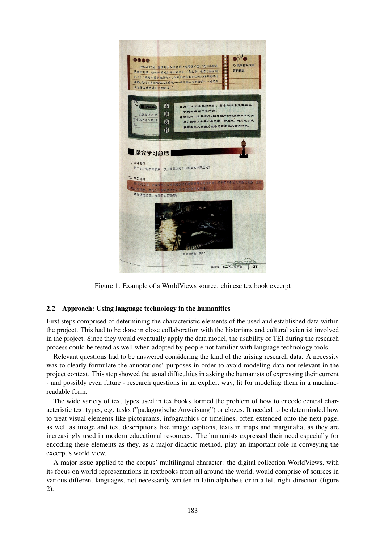

Figure 1: Example of a WorldViews source: chinese textbook excerpt

## 2.2 Approach: Using language technology in the humanities

First steps comprised of determining the characteristic elements of the used and established data within the project. This had to be done in close collaboration with the historians and cultural scientist involved in the project. Since they would eventually apply the data model, the usability of TEI during the research process could be tested as well when adopted by people not familiar with language technology tools.

Relevant questions had to be answered considering the kind of the arising research data. A necessity was to clearly formulate the annotations' purposes in order to avoid modeling data not relevant in the project context. This step showed the usual difficulties in asking the humanists of expressing their current - and possibly even future - research questions in an explicit way, fit for modeling them in a machinereadable form.

The wide variety of text types used in textbooks formed the problem of how to encode central characteristic text types, e.g. tasks ("padagogische Anweisung") or clozes. It needed to be determinded how to treat visual elements like pictograms, infographics or timelines, often extended onto the next page, as well as image and text descriptions like image captions, texts in maps and marginalia, as they are increasingly used in modern educational resources. The humanists expressed their need especially for encoding these elements as they, as a major didactic method, play an important role in conveying the excerpt's world view.

A major issue applied to the corpus' multilingual character: the digital collection WorldViews, with its focus on world representations in textbooks from all around the world, would comprise of sources in various different languages, not necessarily written in latin alphabets or in a left-right direction (figure 2).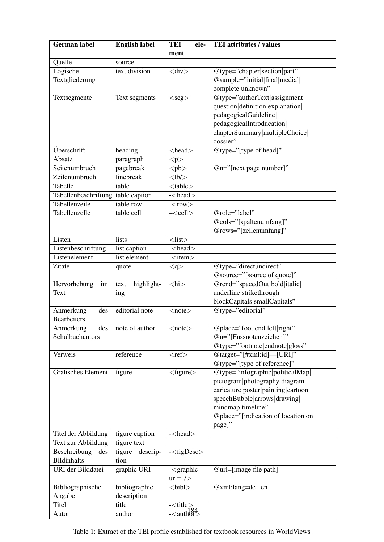| <b>German label</b>          | <b>English label</b>        | TEI<br>ele-                       | <b>TEI</b> attributes / values                            |
|------------------------------|-----------------------------|-----------------------------------|-----------------------------------------------------------|
|                              |                             | ment                              |                                                           |
| Quelle                       | source                      |                                   |                                                           |
| Logische                     | text division               | $\langle$ div $\rangle$           | @type="chapter section part"                              |
| Textgliederung               |                             |                                   | @sample="initial final medial                             |
|                              |                             |                                   | complete unknown"                                         |
| Textsegmente                 | Text segments               | $<$ seg $>$                       | @type="authorText assignment                              |
|                              |                             |                                   | question definition explanation                           |
|                              |                             |                                   | pedagogicalGuideline                                      |
|                              |                             |                                   | pedagogicalIntroducation                                  |
|                              |                             |                                   | chapterSummary multipleChoice                             |
|                              |                             |                                   | dossier"                                                  |
| Überschrift                  | heading                     | $\langle head \rangle$            | @type="[type of head]"                                    |
| Absatz                       | paragraph                   | < p >                             |                                                           |
| Seitenumbruch                | pagebreak                   | $\n\n<$                           | $@n="[next page number]$ "                                |
| Zeilenumbruch                | linebreak                   | $<$ lb/ $>$                       |                                                           |
| Tabelle                      | table                       | $<$ table $>$                     |                                                           |
| Tabellenbeschriftung         | table caption               | $-\text{chead}$                   |                                                           |
| Tabellenzeile                | table row                   | $-<$ row $>$                      |                                                           |
| Tabellenzelle                | table cell                  | $-\text{cell}$                    | @role="label"                                             |
|                              |                             |                                   | @cols="[spaltenumfang]"                                   |
|                              |                             |                                   | @rows="[zeilenumfang]"                                    |
| Listen                       | lists                       | $<$ list $>$                      |                                                           |
| Listenbeschriftung           | list caption                | $-\epsilon$ - $\epsilon$ head $>$ |                                                           |
| Listenelement                | list element                | $-$ <item></item>                 |                                                           |
| Zitate                       | quote                       | < q >                             | @type="direct,indirect"                                   |
|                              |                             |                                   | @source="[source of quote]"                               |
| Hervorhebung<br>im           | highlight-<br>text          | $\langle hi \rangle$              | @rend="spacedOut bold italic                              |
| Text                         | ing                         |                                   | underline strikethrough                                   |
|                              |                             |                                   | blockCapitals smallCapitals"                              |
| Anmerkung<br>des             | editorial note              | $<$ note $>$                      | @type="editorial"                                         |
| <b>Bearbeiters</b>           |                             |                                   |                                                           |
| Anmerkung<br>Schulbuchautors | $\text{des}$ note of author | $note$                            | @place="foot end left right"                              |
|                              |                             |                                   | @n="[Fussnotenzeichen]"<br>@type="footnote endnote gloss" |
| Verweis                      | reference                   | $<$ ref $>$                       | @target="[#xml:id]—[URI]"                                 |
|                              |                             |                                   | @type="[type of reference]"                               |
| Grafisches Element           | figure                      | $<$ figure $>$                    | @type="infographic politicalMap                           |
|                              |                             |                                   | pictogram photography diagram                             |
|                              |                             |                                   | caricature poster painting cartoon                        |
|                              |                             |                                   | speechBubble arrows drawing                               |
|                              |                             |                                   | mindmap timeline"                                         |
|                              |                             |                                   | @place="[indication of location on                        |
|                              |                             |                                   | page]"                                                    |
| Titel der Abbildung          | figure caption              | $-\text{chead}$                   |                                                           |
| Text zur Abbildung           | figure text                 |                                   |                                                           |
| Beschreibung<br>des          | figure<br>descrip-          | $-\langle$ figDesc $\rangle$      |                                                           |
| <b>Bildinhalts</b>           | tion                        |                                   |                                                           |
| URI der Bilddatei            | graphic URI                 | $-\langle$ graphic                | $@url=[image file path]$                                  |
|                              |                             | $url=$ />                         |                                                           |
| Bibliographische             | bibliographic               | $<$ bibl $>$                      | @xml:lang=de $ $ en                                       |
| Angabe                       | description                 |                                   |                                                           |
| Titel                        | title                       | $-$ < title >                     |                                                           |
| Autor                        | author                      | $-\langle \text{author} \rangle$  |                                                           |

Table 1: Extract of the TEI profile established for textbook resources in WorldViews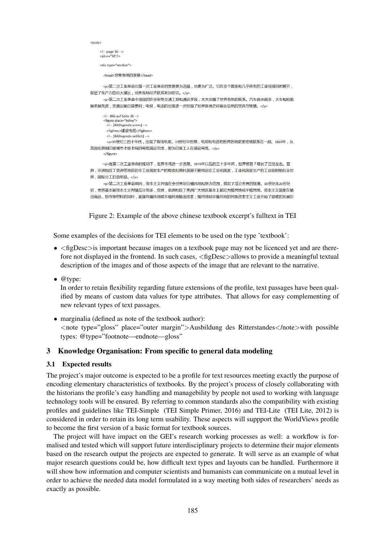```
chodu
   \leftarrow - page 36 -->
   <pb n="36"/>
   <div type="section">
    <head>世界市场的发展</head>
    <p>第二次工业革命比第一次工业革命的发展更为迅猛,也更为广泛。它在多个国家和几乎所有的工业领域同时展开,
促进了生产力的巨大增长,世界各地经济联系更加密切。</p>
    <p>第二次工业革命中出现的许多新型交通工具和通讯手段,大大加强了世界各地的联系。汽车越来越多,火车和轮船
越来越先进,交通运输日益便利;电报,电话的出现进一步加强了世界各地之间商业信息的交流与转播。</p>
    <!-- Bild auf Seite 36 -->
    <i-- bild at i selle so --><br>
<figure place="inline"><br>
<!-- [Bildlegende unten] -->
     <figDesc>铺设电缆</figDesc>
     <!-- [Bildlegende seitlich] -->
     <n>19世纪三四十年代,出现了有线电报,19世纪中后期,电报和电话把世界各地更紧密地联系在一起,1869年,从
英国伦敦到印度城市卡里卡特的电缆铺设完成,图为印度工人在铺设电缆。</p>
    \langlefigure>
    <p>在第二次工业革命的推动下,世界市场进一步发展。1870年以后的三十多年间,世界贸易?增长了三倍左右。亚
洲,非洲和拉丁美洲等地区的非工业国家生产的粮食和原料源源不断地运往工业化国家,工业化国家生产的工业品则销往全世
界,国际分工日益明显。</p>
    <p>第二次工业革命期间,资本主义列强在全世界划分殖民地和努力范围,掀起了瓜分世界的狂潮。19世纪末20世纪
初,世界基本被资本主义列强瓜分完华,亚洲,非洲和拉丁美洲广大地区基本上都沦为殖民地或半殖民地。资本主义国家在输
出商品,掠夺原材料的同时,直接向殖民地或半殖民地输出资本;殖民地和半殖民地的民族资本主义工业开始了艰难的发展历
```
Figure 2: Example of the above chinese textbook excerpt's fulltext in TEI

Some examples of the decisions for TEI elements to be used on the type 'textbook':

- $\langle$  figDesc>is important because images on a textbook page may not be licenced yet and are therefore not displayed in the frontend. In such cases, <figDesc>allows to provide a meaningful textual description of the images and of those aspects of the image that are relevant to the narrative.
- @type:

In order to retain flexibility regarding future extensions of the profile, text passages have been qualified by means of custom data values for type attributes. That allows for easy complementing of new relevant types of text passages.

• marginalia (defined as note of the textbook author): <note type="gloss" place="outer margin">Ausbildung des Ritterstandes</note>with possible types: @type="footnote—endnote—gloss"

## 3 Knowledge Organisation: From specific to general data modeling

### 3.1 Expected results

The project's major outcome is expected to be a profile for text resources meeting exactly the purpose of encoding elementary characteristics of textbooks. By the project's process of closely collaborating with the historians the profile's easy handling and managebility by people not used to working with language technology tools will be ensured. By referring to common standards also the compatibility with existing profiles and guidelines like TEI-Simple (TEI Simple Primer, 2016) and TEI-Lite (TEI Lite, 2012) is considered in order to retain its long term usability. These aspects will suppport the WorldViews profile to become the first version of a basic format for textbook sources.

The project will have impact on the GEI's research working processes as well: a workflow is formalised and tested which will support future interdisciplinary projects to determine their major elements based on the research output the projects are expected to generate. It will serve as an example of what major research questions could be, how difficult text types and layouts can be handled. Furthermore it will show how information and computer scientists and humanists can communicate on a mutual level in order to achieve the needed data model formulated in a way meeting both sides of researchers' needs as exactly as possible.